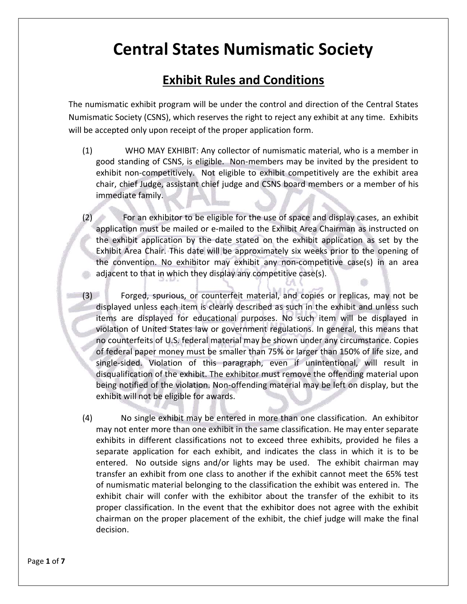# Central States Numismatic Society

## Exhibit Rules and Conditions

The numismatic exhibit program will be under the control and direction of the Central States Numismatic Society (CSNS), which reserves the right to reject any exhibit at any time. Exhibits will be accepted only upon receipt of the proper application form.

- (1) WHO MAY EXHIBIT: Any collector of numismatic material, who is a member in good standing of CSNS, is eligible. Non-members may be invited by the president to exhibit non-competitively. Not eligible to exhibit competitively are the exhibit area chair, chief Judge, assistant chief judge and CSNS board members or a member of his immediate family.
- (2) For an exhibitor to be eligible for the use of space and display cases, an exhibit application must be mailed or e-mailed to the Exhibit Area Chairman as instructed on the exhibit application by the date stated on the exhibit application as set by the Exhibit Area Chair. This date will be approximately six weeks prior to the opening of the convention. No exhibitor may exhibit any non-competitive case(s) in an area adjacent to that in which they display any competitive case(s).
- (3) Forged, spurious, or counterfeit material, and copies or replicas, may not be displayed unless each item is clearly described as such in the exhibit and unless such items are displayed for educational purposes. No such item will be displayed in violation of United States law or government regulations. In general, this means that no counterfeits of U.S. federal material may be shown under any circumstance. Copies of federal paper money must be smaller than 75% or larger than 150% of life size, and single-sided. Violation of this paragraph, even if unintentional, will result in disqualification of the exhibit. The exhibitor must remove the offending material upon being notified of the violation. Non-offending material may be left on display, but the exhibit will not be eligible for awards.
- (4) No single exhibit may be entered in more than one classification. An exhibitor may not enter more than one exhibit in the same classification. He may enter separate exhibits in different classifications not to exceed three exhibits, provided he files a separate application for each exhibit, and indicates the class in which it is to be entered. No outside signs and/or lights may be used. The exhibit chairman may transfer an exhibit from one class to another if the exhibit cannot meet the 65% test of numismatic material belonging to the classification the exhibit was entered in. The exhibit chair will confer with the exhibitor about the transfer of the exhibit to its proper classification. In the event that the exhibitor does not agree with the exhibit chairman on the proper placement of the exhibit, the chief judge will make the final decision.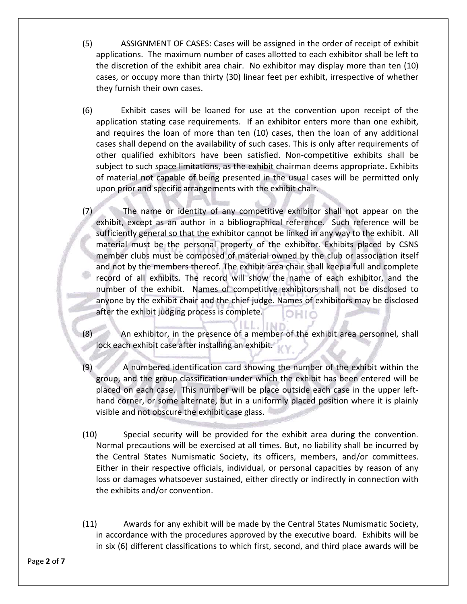- (5) ASSIGNMENT OF CASES: Cases will be assigned in the order of receipt of exhibit applications. The maximum number of cases allotted to each exhibitor shall be left to the discretion of the exhibit area chair. No exhibitor may display more than ten (10) cases, or occupy more than thirty (30) linear feet per exhibit, irrespective of whether they furnish their own cases.
- (6) Exhibit cases will be loaned for use at the convention upon receipt of the application stating case requirements. If an exhibitor enters more than one exhibit, and requires the loan of more than ten (10) cases, then the loan of any additional cases shall depend on the availability of such cases. This is only after requirements of other qualified exhibitors have been satisfied. Non-competitive exhibits shall be subject to such space limitations, as the exhibit chairman deems appropriate. Exhibits of material not capable of being presented in the usual cases will be permitted only upon prior and specific arrangements with the exhibit chair.
- (7) The name or identity of any competitive exhibitor shall not appear on the exhibit, except as an author in a bibliographical reference. Such reference will be sufficiently general so that the exhibitor cannot be linked in any way to the exhibit. All material must be the personal property of the exhibitor. Exhibits placed by CSNS member clubs must be composed of material owned by the club or association itself and not by the members thereof. The exhibit area chair shall keep a full and complete record of all exhibits. The record will show the name of each exhibitor, and the number of the exhibit. Names of competitive exhibitors shall not be disclosed to anyone by the exhibit chair and the chief judge. Names of exhibitors may be disclosed after the exhibit judging process is complete. OHIO

(8) An exhibitor, in the presence of a member of the exhibit area personnel, shall lock each exhibit case after installing an exhibit.

- (9) A numbered identification card showing the number of the exhibit within the group, and the group classification under which the exhibit has been entered will be placed on each case. This number will be place outside each case in the upper lefthand corner, or some alternate, but in a uniformly placed position where it is plainly visible and not obscure the exhibit case glass.
- (10) Special security will be provided for the exhibit area during the convention. Normal precautions will be exercised at all times. But, no liability shall be incurred by the Central States Numismatic Society, its officers, members, and/or committees. Either in their respective officials, individual, or personal capacities by reason of any loss or damages whatsoever sustained, either directly or indirectly in connection with the exhibits and/or convention.
- (11) Awards for any exhibit will be made by the Central States Numismatic Society, in accordance with the procedures approved by the executive board. Exhibits will be in six (6) different classifications to which first, second, and third place awards will be

Page 2 of 7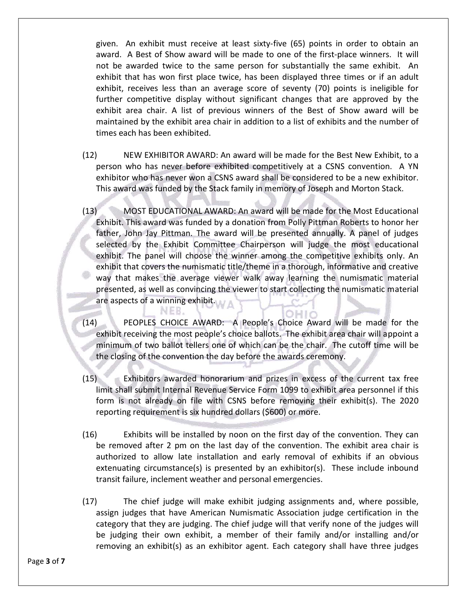given. An exhibit must receive at least sixty-five (65) points in order to obtain an award. A Best of Show award will be made to one of the first-place winners. It will not be awarded twice to the same person for substantially the same exhibit. An exhibit that has won first place twice, has been displayed three times or if an adult exhibit, receives less than an average score of seventy (70) points is ineligible for further competitive display without significant changes that are approved by the exhibit area chair. A list of previous winners of the Best of Show award will be maintained by the exhibit area chair in addition to a list of exhibits and the number of times each has been exhibited.

- (12) NEW EXHIBITOR AWARD: An award will be made for the Best New Exhibit, to a person who has never before exhibited competitively at a CSNS convention. A YN exhibitor who has never won a CSNS award shall be considered to be a new exhibitor. This award was funded by the Stack family in memory of Joseph and Morton Stack.
- (13) MOST EDUCATIONAL AWARD: An award will be made for the Most Educational Exhibit. This award was funded by a donation from Polly Pittman Roberts to honor her father, John Jay Pittman. The award will be presented annually. A panel of judges selected by the Exhibit Committee Chairperson will judge the most educational exhibit. The panel will choose the winner among the competitive exhibits only. An exhibit that covers the numismatic title/theme in a thorough, informative and creative way that makes the average viewer walk away learning the numismatic material presented, as well as convincing the viewer to start collecting the numismatic material are aspects of a winning exhibit.
- (14) PEOPLES CHOICE AWARD: A People's Choice Award will be made for the exhibit receiving the most people's choice ballots. The exhibit area chair will appoint a minimum of two ballot tellers one of which can be the chair. The cutoff time will be the closing of the convention the day before the awards ceremony.

OHIO

NEB.

- (15) Exhibitors awarded honorarium and prizes in excess of the current tax free limit shall submit Internal Revenue Service Form 1099 to exhibit area personnel if this form is not already on file with CSNS before removing their exhibit(s). The 2020 reporting requirement is six hundred dollars (\$600) or more.
- (16) Exhibits will be installed by noon on the first day of the convention. They can be removed after 2 pm on the last day of the convention. The exhibit area chair is authorized to allow late installation and early removal of exhibits if an obvious extenuating circumstance(s) is presented by an exhibitor(s). These include inbound transit failure, inclement weather and personal emergencies.
- (17) The chief judge will make exhibit judging assignments and, where possible, assign judges that have American Numismatic Association judge certification in the category that they are judging. The chief judge will that verify none of the judges will be judging their own exhibit, a member of their family and/or installing and/or removing an exhibit(s) as an exhibitor agent. Each category shall have three judges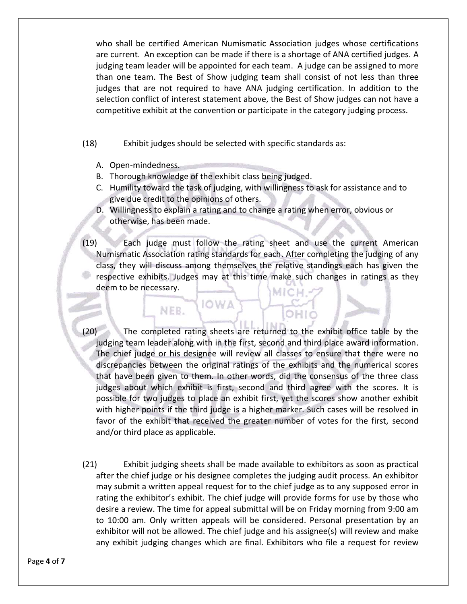who shall be certified American Numismatic Association judges whose certifications are current. An exception can be made if there is a shortage of ANA certified judges. A judging team leader will be appointed for each team. A judge can be assigned to more than one team. The Best of Show judging team shall consist of not less than three judges that are not required to have ANA judging certification. In addition to the selection conflict of interest statement above, the Best of Show judges can not have a competitive exhibit at the convention or participate in the category judging process.

(18) Exhibit judges should be selected with specific standards as:

**IOWA** 

NEB.

- A. Open-mindedness.
- B. Thorough knowledge of the exhibit class being judged.
- C. Humility toward the task of judging, with willingness to ask for assistance and to give due credit to the opinions of others.
- D. Willingness to explain a rating and to change a rating when error, obvious or otherwise, has been made.
- (19) Each judge must follow the rating sheet and use the current American Numismatic Association rating standards for each. After completing the judging of any class, they will discuss among themselves the relative standings each has given the respective exhibits. Judges may at this time make such changes in ratings as they deem to be necessary. MICH
- (20) The completed rating sheets are returned to the exhibit office table by the judging team leader along with in the first, second and third place award information. The chief judge or his designee will review all classes to ensure that there were no discrepancies between the original ratings of the exhibits and the numerical scores that have been given to them. In other words, did the consensus of the three class judges about which exhibit is first, second and third agree with the scores. It is possible for two judges to place an exhibit first, yet the scores show another exhibit with higher points if the third judge is a higher marker. Such cases will be resolved in favor of the exhibit that received the greater number of votes for the first, second and/or third place as applicable.
- (21) Exhibit judging sheets shall be made available to exhibitors as soon as practical after the chief judge or his designee completes the judging audit process. An exhibitor may submit a written appeal request for to the chief judge as to any supposed error in rating the exhibitor's exhibit. The chief judge will provide forms for use by those who desire a review. The time for appeal submittal will be on Friday morning from 9:00 am to 10:00 am. Only written appeals will be considered. Personal presentation by an exhibitor will not be allowed. The chief judge and his assignee(s) will review and make any exhibit judging changes which are final. Exhibitors who file a request for review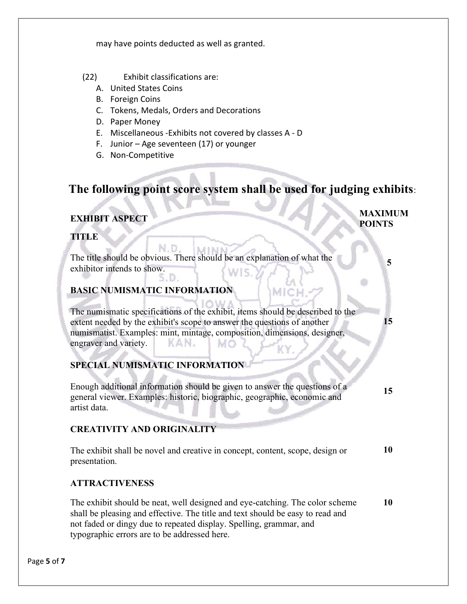may have points deducted as well as granted.

- (22) Exhibit classifications are:
	- A. United States Coins
	- B. Foreign Coins
	- C. Tokens, Medals, Orders and Decorations
	- D. Paper Money
	- E. Miscellaneous -Exhibits not covered by classes A D
	- F. Junior Age seventeen (17) or younger
	- G. Non-Competitive

### The following point score system shall be used for judging exhibits:

MICI

POINTS

15

## EXHIBIT ASPECT MAXIMUM

#### TITLE

N.D. The title should be obvious. There should be an explanation of what the exhibitor intends to show. .D.

#### BASIC NUMISMATIC INFORMATION

The numismatic specifications of the exhibit, items should be described to the extent needed by the exhibit's scope to answer the questions of another numismatist. Examples: mint, mintage, composition, dimensions, designer, engraver and variety. KAN. MO KΥ

#### SPECIAL NUMISMATIC INFORMATION

Enough additional information should be given to answer the questions of a general viewer. Examples: historic, biographic, geographic, economic and artist data. 15

#### CREATIVITY AND ORIGINALITY

The exhibit shall be novel and creative in concept, content, scope, design or presentation. 10

#### **ATTRACTIVENESS**

The exhibit should be neat, well designed and eye-catching. The color scheme shall be pleasing and effective. The title and text should be easy to read and not faded or dingy due to repeated display. Spelling, grammar, and typographic errors are to be addressed here. 10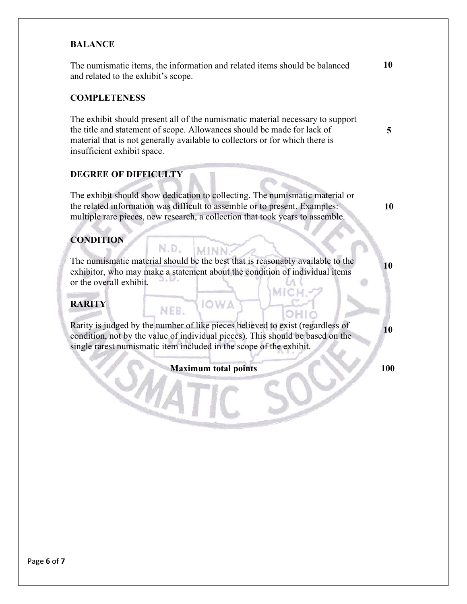#### BALANCE

The numismatic items, the information and related items should be balanced and related to the exhibit's scope.

#### **COMPLETENESS**

The exhibit should present all of the numismatic material necessary to support the title and statement of scope. Allowances should be made for lack of material that is not generally available to collectors or for which there is insufficient exhibit space.

#### DEGREE OF DIFFICULTY

The exhibit should show dedication to collecting. The numismatic material or the related information was difficult to assemble or to present. Examples: multiple rare pieces, new research, a collection that took years to assemble.

#### **CONDITION**

The numismatic material should be the best that is reasonably available to the exhibitor, who may make a statement about the condition of individual items or the overall exhibit.

**IOWA** 

MICH

**IMINN** 

N.D.

NER.

#### **RARITY**

Rarity is judged by the number of like pieces believed to exist (regardless of condition, not by the value of individual pieces). This should be based on the single rarest numismatic item included in the scope of the exhibit.

Maximum total points 100

10

10

5

10

10